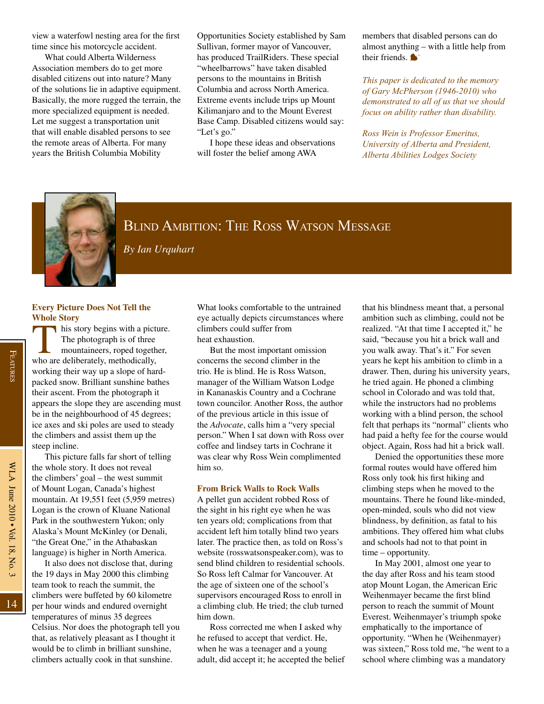

# Blind Ambition: The Ross Watson Message

*By Ian Urquhart*

# **Every Picture Does Not Tell the Whole Story**

 $\Box$  his story begins with a picture. The photograph is of three mountaineers, roped together, who are deliberately, methodically, working their way up a slope of hardpacked snow. Brilliant sunshine bathes their ascent. From the photograph it appears the slope they are ascending must be in the neighbourhood of 45 degrees; ice axes and ski poles are used to steady the climbers and assist them up the steep incline.

This picture falls far short of telling the whole story. It does not reveal the climbers' goal – the west summit of Mount Logan, Canada's highest mountain. At 19,551 feet (5,959 metres) Logan is the crown of Kluane National Park in the southwestern Yukon; only Alaska's Mount McKinley (or Denali, "the Great One," in the Athabaskan language) is higher in North America.

It also does not disclose that, during the 19 days in May 2000 this climbing team took to reach the summit, the climbers were buffeted by 60 kilometre per hour winds and endured overnight temperatures of minus 35 degrees Celsius. Nor does the photograph tell you that, as relatively pleasant as I thought it would be to climb in brilliant sunshine, climbers actually cook in that sunshine.

What looks comfortable to the untrained eye actually depicts circumstances where climbers could suffer from heat exhaustion.

But the most important omission concerns the second climber in the trio. He is blind. He is Ross Watson, manager of the William Watson Lodge in Kananaskis Country and a Cochrane town councilor. Another Ross, the author of the previous article in this issue of the *Advocate*, calls him a "very special person." When I sat down with Ross over coffee and lindsey tarts in Cochrane it was clear why Ross Wein complimented him so.

### **From Brick Walls to Rock Walls**

A pellet gun accident robbed Ross of the sight in his right eye when he was ten years old; complications from that accident left him totally blind two years later. The practice then, as told on Ross's website (rosswatsonspeaker.com), was to send blind children to residential schools. So Ross left Calmar for Vancouver. At the age of sixteen one of the school's supervisors encouraged Ross to enroll in a climbing club. He tried; the club turned him down.

Ross corrected me when I asked why he refused to accept that verdict. He, when he was a teenager and a young adult, did accept it; he accepted the belief

that his blindness meant that, a personal ambition such as climbing, could not be realized. "At that time I accepted it," he said, "because you hit a brick wall and you walk away. That's it." For seven years he kept his ambition to climb in a drawer. Then, during his university years, he tried again. He phoned a climbing school in Colorado and was told that, while the instructors had no problems working with a blind person, the school felt that perhaps its "normal" clients who had paid a hefty fee for the course would object. Again, Ross had hit a brick wall.

Denied the opportunities these more formal routes would have offered him Ross only took his first hiking and climbing steps when he moved to the mountains. There he found like-minded, open-minded, souls who did not view blindness, by definition, as fatal to his ambitions. They offered him what clubs and schools had not to that point in time – opportunity.

In May 2001, almost one year to the day after Ross and his team stood atop Mount Logan, the American Eric Weihenmayer became the first blind person to reach the summit of Mount Everest. Weihenmayer's triumph spoke emphatically to the importance of opportunity. "When he (Weihenmayer) was sixteen," Ross told me, "he went to a school where climbing was a mandatory

14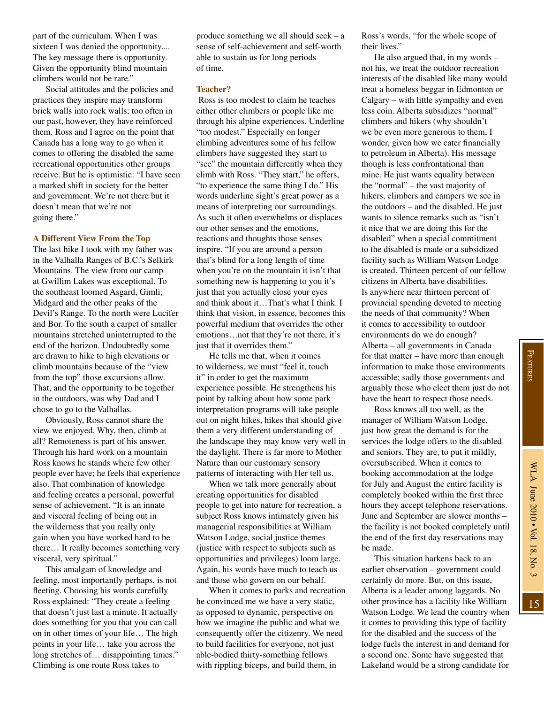part of the curriculum. When I was sixteen I was denied the opportunity.... The key message there is opportunity. Given the opportunity blind mountain climbers would not be rare."

Social attitudes and the policies and practices they inspire may transform brick walls into rock walls; too often in our past, however, they have reinforced them. Ross and I agree on the point that Canada has a long way to go when it comes to offering the disabled the same recreational opportunities other groups receive. But he is optimistic: "I have seen a marked shift in society for the better and government. We're not there but it doesn't mean that we're not going there."

## **A Different View From the Top**

The last hike I took with my father was in the Valhalla Ranges of B.C.'s Selkirk Mountains. The view from our camp at Gwillim Lakes was exceptional. To the southeast loomed Asgard, Gimli, Midgard and the other peaks of the Devil's Range. To the north were Lucifer and Bor. To the south a carpet of smaller mountains stretched uninterrupted to the end of the horizon. Undoubtedly some are drawn to hike to high elevations or climb mountains because of the "view from the top" those excursions allow. That, and the opportunity to be together in the outdoors, was why Dad and I chose to go to the Valhallas.

Obviously, Ross cannot share the view we enjoyed. Why, then, climb at all? Remoteness is part of his answer. Through his hard work on a mountain Ross knows he stands where few other people ever have; he feels that experience also. That combination of knowledge and feeling creates a personal, powerful sense of achievement. "It is an innate and visceral feeling of being out in the wilderness that you really only gain when you have worked hard to be there… It really becomes something very visceral, very spiritual."

This amalgam of knowledge and feeling, most importantly perhaps, is not fleeting. Choosing his words carefully Ross explained: "They create a feeling that doesn't just last a minute. It actually does something for you that you can call on in other times of your life… The high points in your life… take you across the long stretches of… disappointing times." Climbing is one route Ross takes to

produce something we all should seek – a sense of self-achievement and self-worth able to sustain us for long periods of time.

#### **Teacher?**

Ross is too modest to claim he teaches either other climbers or people like me through his alpine experiences. Underline "too modest." Especially on longer climbing adventures some of his fellow climbers have suggested they start to "see" the mountain differently when they climb with Ross. "They start," he offers, "to experience the same thing I do." His words underline sight's great power as a means of interpreting our surroundings. As such it often overwhelms or displaces our other senses and the emotions, reactions and thoughts those senses inspire. "If you are around a person that's blind for a long length of time when you're on the mountain it isn't that something new is happening to you it's just that you actually close your eyes and think about it…That's what I think. I think that vision, in essence, becomes this powerful medium that overrides the other emotions…not that they're not there, it's just that it overrides them."

He tells me that, when it comes to wilderness, we must "feel it, touch it" in order to get the maximum experience possible. He strengthens his point by talking about how some park interpretation programs will take people out on night hikes, hikes that should give them a very different understanding of the landscape they may know very well in the daylight. There is far more to Mother Nature than our customary sensory patterns of interacting with Her tell us.

When we talk more generally about creating opportunities for disabled people to get into nature for recreation, a subject Ross knows intimately given his managerial responsibilities at William Watson Lodge, social justice themes (justice with respect to subjects such as opportunities and privileges) loom large. Again, his words have much to teach us and those who govern on our behalf.

When it comes to parks and recreation he convinced me we have a very static, as opposed to dynamic, perspective on how we imagine the public and what we consequently offer the citizenry. We need to build facilities for everyone, not just able-bodied thirty-something fellows with rippling biceps, and build them, in

Ross's words, "for the whole scope of their lives."

He also argued that, in my words – not his, we treat the outdoor recreation interests of the disabled like many would treat a homeless beggar in Edmonton or Calgary – with little sympathy and even less coin. Alberta subsidizes "normal" climbers and hikers (why shouldn't we be even more generous to them, I wonder, given how we cater financially to petroleum in Alberta). His message though is less confrontational than mine. He just wants equality between the "normal" – the vast majority of hikers, climbers and campers we see in the outdoors – and the disabled. He just wants to silence remarks such as "isn't it nice that we are doing this for the disabled" when a special commitment to the disabled is made or a subsidized facility such as William Watson Lodge is created. Thirteen percent of our fellow citizens in Alberta have disabilities. Is anywhere near thirteen percent of provincial spending devoted to meeting the needs of that community? When it comes to accessibility to outdoor environments do we do enough? Alberta – all governments in Canada for that matter – have more than enough information to make those environments accessible; sadly those governments and arguably those who elect them just do not have the heart to respect those needs.

Ross knows all too well, as the manager of William Watson Lodge, just how great the demand is for the services the lodge offers to the disabled and seniors. They are, to put it mildly, oversubscribed. When it comes to booking accommodation at the lodge for July and August the entire facility is completely booked within the first three hours they accept telephone reservations. June and September are slower months – the facility is not booked completely until the end of the first day reservations may be made.

This situation harkens back to an earlier observation – government could certainly do more. But, on this issue, Alberta is a leader among laggards. No other province has a facility like William Watson Lodge. We lead the country when it comes to providing this type of facility for the disabled and the success of the lodge fuels the interest in and demand for a second one. Some have suggested that Lakeland would be a strong candidate for

15